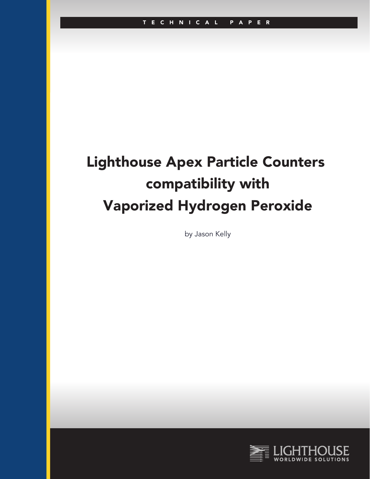# Lighthouse Apex Particle Counters compatibility with Vaporized Hydrogen Peroxide

by Jason Kelly

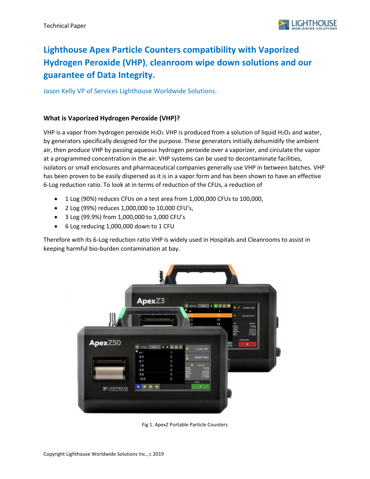

## **Lighthouse Apex Particle Counters compatibility with Vaporized Hydrogen Peroxide (VHP)**, **cleanroom wipe down solutions and our guarantee of Data Integrity.**

Jason Kelly VP of Services Lighthouse Worldwide Solutions.

#### **What is Vaporized Hydrogen Peroxide (VHP)?**

VHP is a vapor from hydrogen peroxide H2O2. VHP is produced from a solution of liquid H2O2 and water, by generators specifically designed for the purpose. These generators initially dehumidify the ambient air, then produce VHP by passing aqueous hydrogen peroxide over a vaporizer, and circulate the vapor at a programmed concentration in the air. VHP systems can be used to decontaminate facilities, isolators or small enclosures and pharmaceutical companies generally use VHP in between batches. VHP has been proven to be easily dispersed as it is in a vapor form and has been shown to have an effective 6-Log reduction ratio. To look at in terms of reduction of the CFUs, a reduction of

- 1 Log (90%) reduces CFUs on a test area from 1,000,000 CFUs to 100,000,
- 2 Log (99%) reduces 1,000,000 to 10,000 CFU's,
- 3 Log (99.9%) from 1,000,000 to 1,000 CFU's
- 6 Log reducing 1,000,000 down to 1 CFU

Therefore with its 6-Log reduction ratio VHP is widely used in Hospitals and Cleanrooms to assist in keeping harmful bio-burden contamination at bay.



Fig 1. ApexZ Portable Particle Counters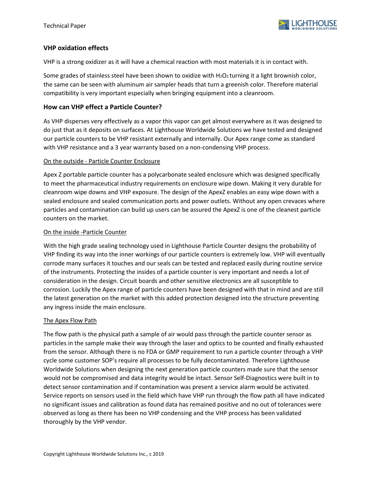

#### **VHP oxidation effects**

VHP is a strong oxidizer as it will have a chemical reaction with most materials it is in contact with.

Some grades of stainless steel have been shown to oxidize with H2O2 turning it a light brownish color, the same can be seen with aluminum air sampler heads that turn a greenish color. Therefore material compatibility is very important especially when bringing equipment into a cleanroom.

#### **How can VHP effect a Particle Counter?**

As VHP disperses very effectively as a vapor this vapor can get almost everywhere as it was designed to do just that as it deposits on surfaces. At Lighthouse Worldwide Solutions we have tested and designed our particle counters to be VHP resistant externally and internally. Our Apex range come as standard with VHP resistance and a 3 year warranty based on a non-condensing VHP process.

#### On the outside - Particle Counter Enclosure

Apex Z portable particle counter has a polycarbonate sealed enclosure which was designed specifically to meet the pharmaceutical industry requirements on enclosure wipe down. Making it very durable for cleanroom wipe downs and VHP exposure. The design of the ApexZ enables an easy wipe down with a sealed enclosure and sealed communication ports and power outlets. Without any open crevaces where particles and contamination can build up users can be assured the ApexZ is one of the cleanest particle counters on the market.

#### On the inside -Particle Counter

With the high grade sealing technology used in Lighthouse Particle Counter designs the probability of VHP finding its way into the inner workings of our particle counters is extremely low. VHP will eventually corrode many surfaces it touches and our seals can be tested and replaced easily during routine service of the instruments. Protecting the insides of a particle counter is very important and needs a lot of consideration in the design. Circuit boards and other sensitive electronics are all susceptible to corrosion. Luckily the Apex range of particle counters have been designed with that in mind and are still the latest generation on the market with this added protection designed into the structure preventing any ingress inside the main enclosure.

#### The Apex Flow Path

The flow path is the physical path a sample of air would pass through the particle counter sensor as particles in the sample make their way through the laser and optics to be counted and finally exhausted from the sensor. Although there is no FDA or GMP requirement to run a particle counter through a VHP cycle some customer SOP's require all processes to be fully decontaminated. Therefore Lighthouse Worldwide Solutions when designing the next generation particle counters made sure that the sensor would not be compromised and data integrity would be intact. Sensor Self-Diagnostics were built in to detect sensor contamination and if contamination was present a service alarm would be activated. Service reports on sensors used in the field which have VHP run through the flow path all have indicated no significant issues and calibration as found data has remained positive and no out of tolerances were observed as long as there has been no VHP condensing and the VHP process has been validated thoroughly by the VHP vendor.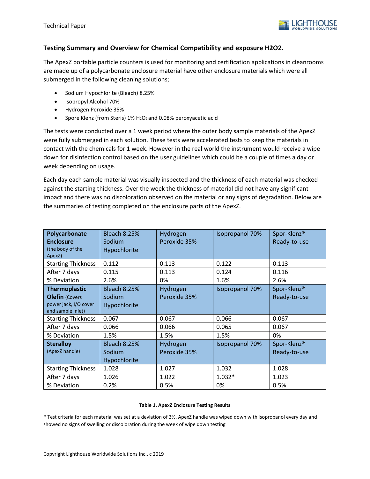

#### **Testing Summary and Overview for Chemical Compatibility and exposure H2O2.**

The ApexZ portable particle counters is used for monitoring and certification applications in cleanrooms are made up of a polycarbonate enclosure material have other enclosure materials which were all submerged in the following cleaning solutions;

- Sodium Hypochlorite (Bleach) 8.25%
- Isopropyl Alcohol 70%
- Hydrogen Peroxide 35%
- Spore Klenz (from Steris) 1% H2O2 and 0.08% peroxyacetic acid

The tests were conducted over a 1 week period where the outer body sample materials of the ApexZ were fully submerged in each solution. These tests were accelerated tests to keep the materials in contact with the chemicals for 1 week. However in the real world the instrument would receive a wipe down for disinfection control based on the user guidelines which could be a couple of times a day or week depending on usage.

Each day each sample material was visually inspected and the thickness of each material was checked against the starting thickness. Over the week the thickness of material did not have any significant impact and there was no discoloration observed on the material or any signs of degradation. Below are the summaries of testing completed on the enclosure parts of the ApexZ.

| Polycarbonate<br><b>Enclosure</b><br>(the body of the<br>ApexZ)                             | <b>Bleach 8.25%</b><br>Sodium<br>Hypochlorite | Hydrogen<br>Peroxide 35% | <b>Isopropanol 70%</b> | Spor-Klenz®<br>Ready-to-use             |
|---------------------------------------------------------------------------------------------|-----------------------------------------------|--------------------------|------------------------|-----------------------------------------|
| <b>Starting Thickness</b>                                                                   | 0.112                                         | 0.113                    | 0.122                  | 0.113                                   |
| After 7 days                                                                                | 0.115                                         | 0.113                    | 0.124                  | 0.116                                   |
| % Deviation                                                                                 | 2.6%                                          | 0%                       | 1.6%                   | 2.6%                                    |
| <b>Thermoplastic</b><br><b>Olefin (Covers</b><br>power jack, I/O cover<br>and sample inlet) | <b>Bleach 8.25%</b><br>Sodium<br>Hypochlorite | Hydrogen<br>Peroxide 35% | Isopropanol 70%        | Spor-Klenz®<br>Ready-to-use             |
| <b>Starting Thickness</b>                                                                   | 0.067                                         | 0.067                    | 0.066                  | 0.067                                   |
| After 7 days                                                                                | 0.066                                         | 0.066                    | 0.065                  | 0.067                                   |
| % Deviation                                                                                 | 1.5%                                          | 1.5%                     | 1.5%                   | 0%                                      |
| <b>Steralloy</b><br>(ApexZ handle)                                                          | <b>Bleach 8.25%</b><br>Sodium<br>Hypochlorite | Hydrogen<br>Peroxide 35% | <b>Isopropanol 70%</b> | Spor-Klenz <sup>®</sup><br>Ready-to-use |
| <b>Starting Thickness</b>                                                                   | 1.028                                         | 1.027                    | 1.032                  | 1.028                                   |
| After 7 days                                                                                | 1.026                                         | 1.022                    | $1.032*$               | 1.023                                   |
| % Deviation                                                                                 | 0.2%                                          | 0.5%                     | 0%                     | 0.5%                                    |

#### **Table 1. ApexZ Enclosure Testing Results**

\* Test criteria for each material was set at a deviation of 3%. ApexZ handle was wiped down with isopropanol every day and showed no signs of swelling or discoloration during the week of wipe down testing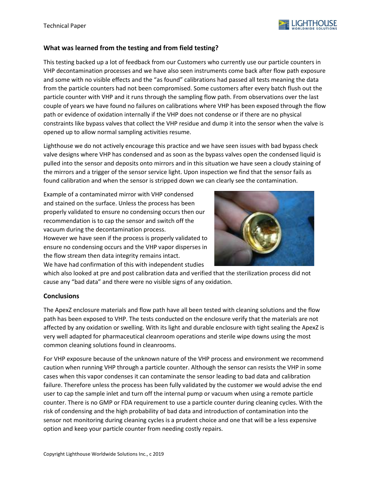

#### **What was learned from the testing and from field testing?**

This testing backed up a lot of feedback from our Customers who currently use our particle counters in VHP decontamination processes and we have also seen instruments come back after flow path exposure and some with no visible effects and the "as found" calibrations had passed all tests meaning the data from the particle counters had not been compromised. Some customers after every batch flush out the particle counter with VHP and it runs through the sampling flow path. From observations over the last couple of years we have found no failures on calibrations where VHP has been exposed through the flow path or evidence of oxidation internally if the VHP does not condense or if there are no physical constraints like bypass valves that collect the VHP residue and dump it into the sensor when the valve is opened up to allow normal sampling activities resume.

Lighthouse we do not actively encourage this practice and we have seen issues with bad bypass check valve designs where VHP has condensed and as soon as the bypass valves open the condensed liquid is pulled into the sensor and deposits onto mirrors and in this situation we have seen a cloudy staining of the mirrors and a trigger of the sensor service light. Upon inspection we find that the sensor fails as found calibration and when the sensor is stripped down we can clearly see the contamination.

Example of a contaminated mirror with VHP condensed and stained on the surface. Unless the process has been properly validated to ensure no condensing occurs then our recommendation is to cap the sensor and switch off the vacuum during the decontamination process. However we have seen if the process is properly validated to

ensure no condensing occurs and the VHP vapor disperses in the flow stream then data integrity remains intact. We have had confirmation of this with independent studies



which also looked at pre and post calibration data and verified that the sterilization process did not cause any "bad data" and there were no visible signs of any oxidation.

#### **Conclusions**

The ApexZ enclosure materials and flow path have all been tested with cleaning solutions and the flow path has been exposed to VHP. The tests conducted on the enclosure verify that the materials are not affected by any oxidation or swelling. With its light and durable enclosure with tight sealing the ApexZ is very well adapted for pharmaceutical cleanroom operations and sterile wipe downs using the most common cleaning solutions found in cleanrooms.

For VHP exposure because of the unknown nature of the VHP process and environment we recommend caution when running VHP through a particle counter. Although the sensor can resists the VHP in some cases when this vapor condenses it can contaminate the sensor leading to bad data and calibration failure. Therefore unless the process has been fully validated by the customer we would advise the end user to cap the sample inlet and turn off the internal pump or vacuum when using a remote particle counter. There is no GMP or FDA requirement to use a particle counter during cleaning cycles. With the risk of condensing and the high probability of bad data and introduction of contamination into the sensor not monitoring during cleaning cycles is a prudent choice and one that will be a less expensive option and keep your particle counter from needing costly repairs.